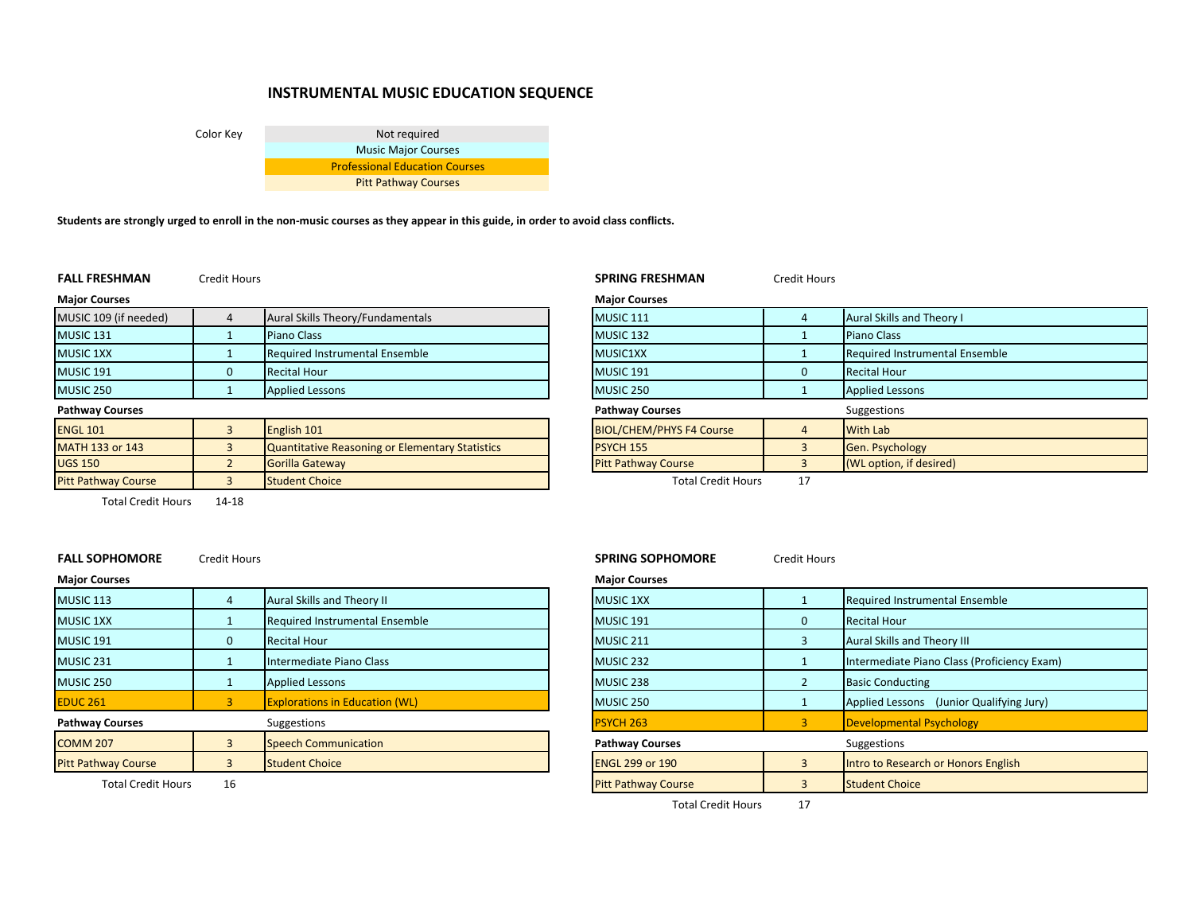# **INSTRUMENTAL MUSIC EDUCATION SEQUENCE**

Color Key Not required Music Major Courses Professional Education Courses Pitt Pathway Courses

Students are strongly urged to enroll in the non-music courses as they appear in this guide, in order to avoid class conflicts.

**FALL FRESHMAN**

Credit Hours **SPRING FRESHMAN** Credit Hours

| <b>Major Courses</b>       |                                                        | <b>Major Courses</b>            |    |                                       |
|----------------------------|--------------------------------------------------------|---------------------------------|----|---------------------------------------|
| MUSIC 109 (if needed)      | Aural Skills Theory/Fundamentals                       | <b>MUSIC 111</b>                |    | Aural Skills and Theory I             |
| MUSIC <sub>131</sub>       | Piano Class                                            | MUSIC <sub>132</sub>            |    | <b>Piano Class</b>                    |
| <b>MUSIC 1XX</b>           | <b>Required Instrumental Ensemble</b>                  | MUSIC1XX                        |    | <b>Required Instrumental Ensemble</b> |
| MUSIC 191                  | <b>Recital Hour</b>                                    | MUSIC <sub>191</sub>            |    | <b>Recital Hour</b>                   |
| MUSIC 250                  | <b>Applied Lessons</b>                                 | MUSIC 250                       |    | <b>Applied Lessons</b>                |
| <b>Pathway Courses</b>     |                                                        | <b>Pathway Courses</b>          |    | Suggestions                           |
| <b>ENGL 101</b>            | English 101                                            | <b>BIOL/CHEM/PHYS F4 Course</b> |    | <b>With Lab</b>                       |
| <b>MATH 133 or 143</b>     | <b>Quantitative Reasoning or Elementary Statistics</b> | <b>PSYCH 155</b>                |    | Gen. Psychology                       |
| <b>UGS 150</b>             | Gorilla Gateway                                        | <b>Pitt Pathway Course</b>      |    | (WL option, if desired)               |
| <b>Pitt Pathway Course</b> | <b>Student Choice</b>                                  | <b>Total Credit Hours</b>       | 17 |                                       |

|                |                                                 | <b>Major Courses</b>            |    |                                |
|----------------|-------------------------------------------------|---------------------------------|----|--------------------------------|
| $\overline{4}$ | Aural Skills Theory/Fundamentals                | <b>MUSIC 111</b>                |    | Aural Skills and Theory I      |
|                | <b>Piano Class</b>                              | MUSIC <sub>132</sub>            |    | <b>Piano Class</b>             |
|                | Required Instrumental Ensemble                  | MUSIC1XX                        |    | Required Instrumental Ensemble |
| $\mathbf 0$    | <b>Recital Hour</b>                             | MUSIC 191                       |    | <b>Recital Hour</b>            |
|                | <b>Applied Lessons</b>                          | MUSIC 250                       |    | <b>Applied Lessons</b>         |
|                |                                                 | <b>Pathway Courses</b>          |    | Suggestions                    |
| $\overline{3}$ | English 101                                     | <b>BIOL/CHEM/PHYS F4 Course</b> |    | <b>With Lab</b>                |
| $\overline{3}$ | Quantitative Reasoning or Elementary Statistics | <b>PSYCH 155</b>                |    | <b>Gen. Psychology</b>         |
| <sup>2</sup>   | Gorilla Gateway                                 | <b>Pitt Pathway Course</b>      |    | (WL option, if desired)        |
| $\overline{3}$ | <b>Student Choice</b>                           | <b>Total Credit Hours</b>       | 17 |                                |

Total Credit Hours 14‐18 $14 - 18$ 

**FALL SOPHOMORECredit Hours** 

| <b>MUSIC 113</b>           | Aural Skills and Theory II            | <b>MUSIC 1XX</b>                      |              | Required Instrumental Ensemble            |
|----------------------------|---------------------------------------|---------------------------------------|--------------|-------------------------------------------|
| <b>MUSIC 1XX</b>           | Required Instrumental Ensemble        | MUSIC 191                             | $\mathbf{0}$ | <b>Recital Hour</b>                       |
| <b>MUSIC 191</b>           | <b>Recital Hour</b>                   | MUSIC <sub>211</sub>                  |              | Aural Skills and Theory III               |
| MUSIC 231                  | Intermediate Piano Class              | MUSIC 232                             |              | Intermediate Piano Class (Proficiency Exa |
| MUSIC 250                  | <b>Applied Lessons</b>                | MUSIC 238                             |              | <b>Basic Conducting</b>                   |
| <b>EDUC 261</b>            | <b>Explorations in Education (WL)</b> | MUSIC 250                             |              | Applied Lessons (Junior Qualifying Jury)  |
| <b>Pathway Courses</b>     | Suggestions                           | <b>PSYCH 263</b>                      |              | Developmental Psychology                  |
| <b>COMM 207</b>            | <b>Speech Communication</b>           | <b>Pathway Courses</b><br>Suggestions |              |                                           |
| <b>Pitt Pathway Course</b> | <b>Student Choice</b>                 | <b>ENGL 299 or 190</b>                |              | Intro to Research or Honors English       |
|                            |                                       |                                       |              |                                           |

**SPRING SOPHOMORE** Credit Hours

# **Major Courses Major Courses**

| C 113                     |    | Aural Skills and Theory II            | <b>MUSIC 1XX</b>           | Required Instrumental Ensemble              |
|---------------------------|----|---------------------------------------|----------------------------|---------------------------------------------|
| C <sub>1</sub> XX         |    | <b>Required Instrumental Ensemble</b> | <b>MUSIC 191</b>           | <b>Recital Hour</b>                         |
| C 191                     |    | <b>Recital Hour</b>                   | MUSIC 211                  | Aural Skills and Theory III                 |
| C <sub>231</sub>          |    | Intermediate Piano Class              | MUSIC 232                  | Intermediate Piano Class (Proficiency Exam) |
| C <sub>250</sub>          |    | <b>Applied Lessons</b>                | MUSIC 238                  | <b>Basic Conducting</b>                     |
| 261                       |    | <b>Explorations in Education (WL)</b> | MUSIC 250                  | Applied Lessons (Junior Qualifying Jury)    |
| vay Courses               |    | Suggestions                           | <b>PSYCH 263</b>           | Developmental Psychology                    |
| M 207                     |    | <b>Speech Communication</b>           | <b>Pathway Courses</b>     | Suggestions                                 |
| athway Course             |    | <b>Student Choice</b>                 | <b>ENGL 299 or 190</b>     | Intro to Research or Honors English         |
| <b>Total Credit Hours</b> | 16 |                                       | <b>Pitt Pathway Course</b> | <b>Student Choice</b>                       |
|                           |    |                                       |                            |                                             |

Total Credit Hours 17